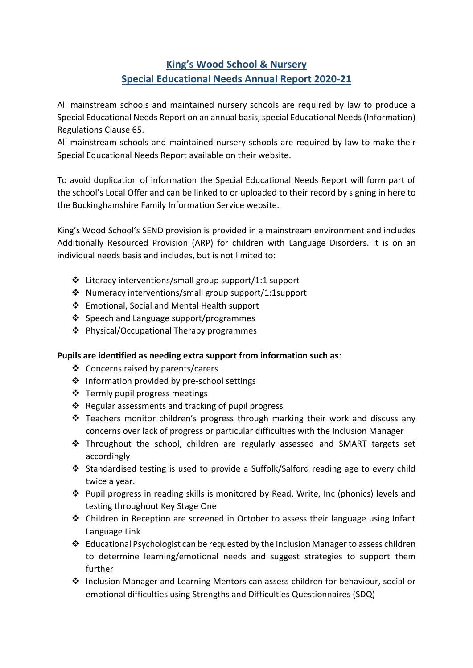# **King's Wood School & Nursery Special Educational Needs Annual Report 2020-21**

All mainstream schools and maintained nursery schools are required by law to produce a Special Educational Needs Report on an annual basis, special Educational Needs (Information) Regulations Clause 65.

All mainstream schools and maintained nursery schools are required by law to make their Special Educational Needs Report available on their website.

To avoid duplication of information the Special Educational Needs Report will form part of the school's Local Offer and can be linked to or uploaded to their record by signing in here to the Buckinghamshire Family Information Service website.

King's Wood School's SEND provision is provided in a mainstream environment and includes Additionally Resourced Provision (ARP) for children with Language Disorders. It is on an individual needs basis and includes, but is not limited to:

- $\cdot$  Literacy interventions/small group support/1:1 support
- Numeracy interventions/small group support/1:1support
- Emotional, Social and Mental Health support
- ❖ Speech and Language support/programmes
- Physical/Occupational Therapy programmes

#### **Pupils are identified as needing extra support from information such as**:

- Concerns raised by parents/carers
- ❖ Information provided by pre-school settings
- ❖ Termly pupil progress meetings
- $\cdot$  Regular assessments and tracking of pupil progress
- $\cdot$  Teachers monitor children's progress through marking their work and discuss any concerns over lack of progress or particular difficulties with the Inclusion Manager
- Throughout the school, children are regularly assessed and SMART targets set accordingly
- Standardised testing is used to provide a Suffolk/Salford reading age to every child twice a year.
- $\cdot \cdot$  Pupil progress in reading skills is monitored by Read, Write, Inc (phonics) levels and testing throughout Key Stage One
- Children in Reception are screened in October to assess their language using Infant Language Link
- Educational Psychologist can be requested by the Inclusion Managerto assess children to determine learning/emotional needs and suggest strategies to support them further
- $\div$  Inclusion Manager and Learning Mentors can assess children for behaviour, social or emotional difficulties using Strengths and Difficulties Questionnaires (SDQ)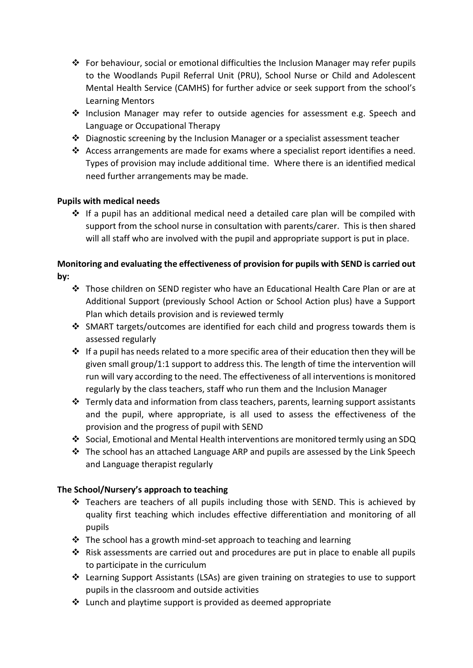- For behaviour, social or emotional difficulties the Inclusion Manager may refer pupils to the Woodlands Pupil Referral Unit (PRU), School Nurse or Child and Adolescent Mental Health Service (CAMHS) for further advice or seek support from the school's Learning Mentors
- Inclusion Manager may refer to outside agencies for assessment e.g. Speech and Language or Occupational Therapy
- Diagnostic screening by the Inclusion Manager or a specialist assessment teacher
- Access arrangements are made for exams where a specialist report identifies a need. Types of provision may include additional time. Where there is an identified medical need further arrangements may be made.

## **Pupils with medical needs**

 $\triangle$  If a pupil has an additional medical need a detailed care plan will be compiled with support from the school nurse in consultation with parents/carer. This is then shared will all staff who are involved with the pupil and appropriate support is put in place.

# **Monitoring and evaluating the effectiveness of provision for pupils with SEND is carried out by:**

- Those children on SEND register who have an Educational Health Care Plan or are at Additional Support (previously School Action or School Action plus) have a Support Plan which details provision and is reviewed termly
- SMART targets/outcomes are identified for each child and progress towards them is assessed regularly
- $\triangleq$  If a pupil has needs related to a more specific area of their education then they will be given small group/1:1 support to address this. The length of time the intervention will run will vary according to the need. The effectiveness of all interventions is monitored regularly by the class teachers, staff who run them and the Inclusion Manager
- $\clubsuit$  Termly data and information from class teachers, parents, learning support assistants and the pupil, where appropriate, is all used to assess the effectiveness of the provision and the progress of pupil with SEND
- Social, Emotional and Mental Health interventions are monitored termly using an SDQ
- $\triangle$  The school has an attached Language ARP and pupils are assessed by the Link Speech and Language therapist regularly

## **The School/Nursery's approach to teaching**

- Teachers are teachers of all pupils including those with SEND. This is achieved by quality first teaching which includes effective differentiation and monitoring of all pupils
- $\cdot$  The school has a growth mind-set approach to teaching and learning
- $\cdot$  Risk assessments are carried out and procedures are put in place to enable all pupils to participate in the curriculum
- Learning Support Assistants (LSAs) are given training on strategies to use to support pupils in the classroom and outside activities
- $\cdot$  Lunch and playtime support is provided as deemed appropriate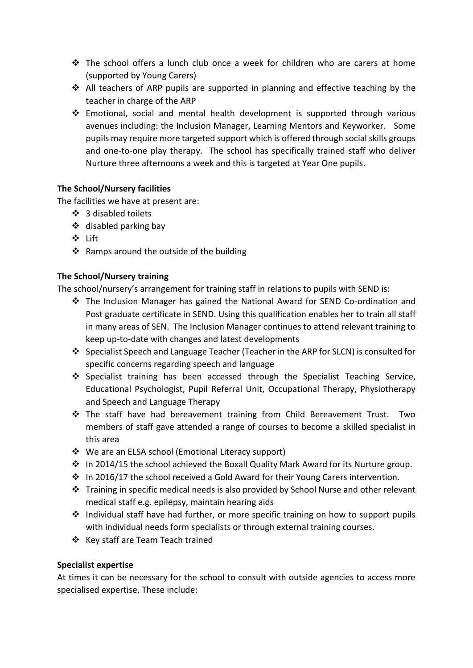- $\clubsuit$  The school offers a lunch club once a week for children who are carers at home (supported by Young Carers)
- $\triangle$  All teachers of ARP pupils are supported in planning and effective teaching by the teacher in charge of the ARP
- $\cdot$  Emotional, social and mental health development is supported through various avenues including: the Inclusion Manager, Learning Mentors and Keyworker. Some pupils may require more targeted support which is offered through social skills groups and one-to-one play therapy. The school has specifically trained staff who deliver Nurture three afternoons a week and this is targeted at Year One pupils.

## **The School/Nursery facilities**

The facilities we have at present are:

- $\div$  3 disabled toilets
- $\div$  disabled parking bay
- Lift
- $\triangleleft$  Ramps around the outside of the building

## **The School/Nursery training**

The school/nursery's arrangement for training staff in relations to pupils with SEND is:

- The Inclusion Manager has gained the National Award for SEND Co-ordination and Post graduate certificate in SEND. Using this qualification enables her to train all staff in many areas of SEN. The Inclusion Manager continues to attend relevant training to keep up-to-date with changes and latest developments
- Specialist Speech and Language Teacher (Teacher in the ARP for SLCN) is consulted for specific concerns regarding speech and language
- ❖ Specialist training has been accessed through the Specialist Teaching Service, Educational Psychologist, Pupil Referral Unit, Occupational Therapy, Physiotherapy and Speech and Language Therapy
- The staff have had bereavement training from Child Bereavement Trust. Two members of staff gave attended a range of courses to become a skilled specialist in this area
- ❖ We are an ELSA school (Emotional Literacy support)
- $\cdot \cdot$  In 2014/15 the school achieved the Boxall Quality Mark Award for its Nurture group.
- $\cdot$  In 2016/17 the school received a Gold Award for their Young Carers intervention.
- Training in specific medical needs is also provided by School Nurse and other relevant medical staff e.g. epilepsy, maintain hearing aids
- $\cdot$  Individual staff have had further, or more specific training on how to support pupils with individual needs form specialists or through external training courses.
- ❖ Key staff are Team Teach trained

#### **Specialist expertise**

At times it can be necessary for the school to consult with outside agencies to access more specialised expertise. These include: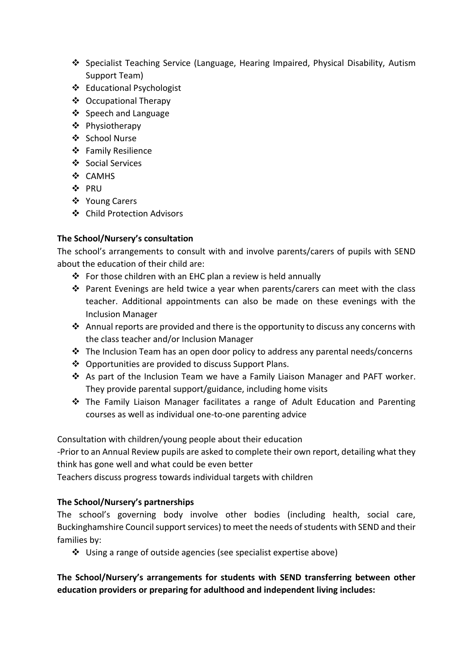- Specialist Teaching Service (Language, Hearing Impaired, Physical Disability, Autism Support Team)
- Educational Psychologist
- Occupational Therapy
- ❖ Speech and Language
- Physiotherapy
- School Nurse
- Family Resilience
- Social Services
- ❖ CAMHS
- ❖ PRU
- ❖ Young Carers
- Child Protection Advisors

## **The School/Nursery's consultation**

The school's arrangements to consult with and involve parents/carers of pupils with SEND about the education of their child are:

- $\hat{P}$  For those children with an EHC plan a review is held annually
- ◆ Parent Evenings are held twice a year when parents/carers can meet with the class teacher. Additional appointments can also be made on these evenings with the Inclusion Manager
- Annual reports are provided and there is the opportunity to discuss any concerns with the class teacher and/or Inclusion Manager
- $\cdot \cdot$  The Inclusion Team has an open door policy to address any parental needs/concerns
- ❖ Opportunities are provided to discuss Support Plans.
- As part of the Inclusion Team we have a Family Liaison Manager and PAFT worker. They provide parental support/guidance, including home visits
- The Family Liaison Manager facilitates a range of Adult Education and Parenting courses as well as individual one-to-one parenting advice

Consultation with children/young people about their education

-Prior to an Annual Review pupils are asked to complete their own report, detailing what they think has gone well and what could be even better

Teachers discuss progress towards individual targets with children

#### **The School/Nursery's partnerships**

The school's governing body involve other bodies (including health, social care, Buckinghamshire Council support services) to meet the needs of students with SEND and their families by:

Using a range of outside agencies (see specialist expertise above)

**The School/Nursery's arrangements for students with SEND transferring between other education providers or preparing for adulthood and independent living includes:**